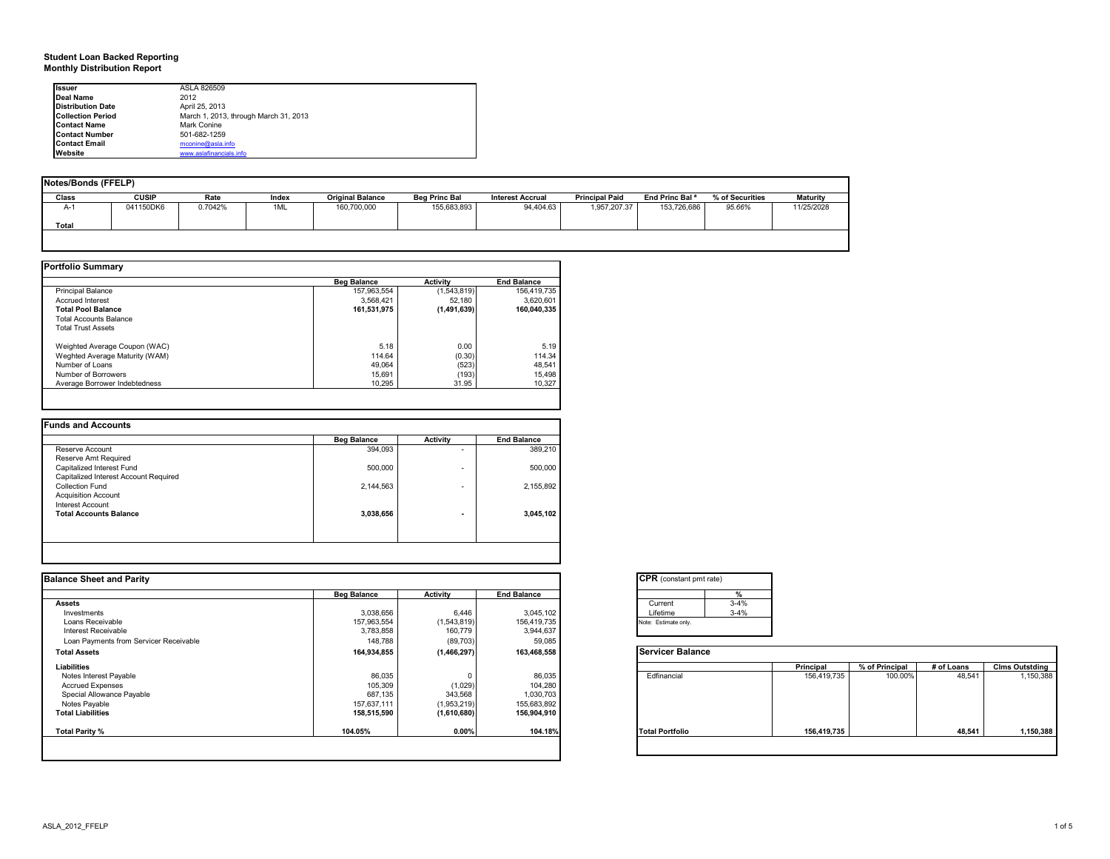#### **Student Loan Backed Reporting Monthly Distribution Report**

| <b>Issuer</b>            | ASLA 826509                           |  |
|--------------------------|---------------------------------------|--|
|                          |                                       |  |
| Deal Name                | 2012                                  |  |
| <b>Distribution Date</b> | April 25, 2013                        |  |
| <b>Collection Period</b> | March 1, 2013, through March 31, 2013 |  |
| <b>Contact Name</b>      | Mark Conine                           |  |
| <b>Contact Number</b>    | 501-682-1259                          |  |
| <b>Contact Email</b>     | mconine@asla.info                     |  |
| <b>Website</b>           | www.aslafinancials.info               |  |

| Notes/Bonds (FFELP) |              |         |       |                         |                      |                         |                       |                            |                 |                 |
|---------------------|--------------|---------|-------|-------------------------|----------------------|-------------------------|-----------------------|----------------------------|-----------------|-----------------|
| Class               | <b>CUSIP</b> | Rate    | Index | <b>Original Balance</b> | <b>Beg Princ Bal</b> | <b>Interest Accrual</b> | <b>Principal Paid</b> | End Princ Bal <sup>a</sup> | % of Securities | <b>Maturity</b> |
| $A-1$               | 041150DK6    | 0.7042% | 1ML   | 160,700,000             | 155,683,893          | 94,404.63               | 1,957,207.37          | 153,726,686                | 95.66%          | 11/25/2028      |
| Total               |              |         |       |                         |                      |                         |                       |                            |                 |                 |
|                     |              |         |       |                         |                      |                         |                       |                            |                 |                 |
|                     |              |         |       |                         |                      |                         |                       |                            |                 |                 |

|                                | <b>Beg Balance</b> | Activity    | <b>End Balance</b> |
|--------------------------------|--------------------|-------------|--------------------|
| <b>Principal Balance</b>       | 157,963,554        | (1,543,819) | 156.419.735        |
| <b>Accrued Interest</b>        | 3.568.421          | 52.180      | 3.620.601          |
| <b>Total Pool Balance</b>      | 161,531,975        | (1,491,639) | 160.040.335        |
| <b>Total Accounts Balance</b>  |                    |             |                    |
| <b>Total Trust Assets</b>      |                    |             |                    |
| Weighted Average Coupon (WAC)  | 5.18               | 0.00        | 5.19               |
| Weghted Average Maturity (WAM) | 114.64             | (0.30)      | 114.34             |
| Number of Loans                | 49.064             | (523)       | 48.541             |
| Number of Borrowers            | 15.691             | (193)       | 15.498             |
| Average Borrower Indebtedness  | 10.295             | 31.95       | 10.327             |

|                                       | <b>Beg Balance</b> | <b>Activity</b>          | <b>End Balance</b> |
|---------------------------------------|--------------------|--------------------------|--------------------|
| Reserve Account                       | 394,093            | $\overline{\phantom{0}}$ | 389,210            |
| Reserve Amt Required                  |                    |                          |                    |
| Capitalized Interest Fund             | 500,000            | ۰                        | 500,000            |
| Capitalized Interest Account Required |                    |                          |                    |
| Collection Fund                       | 2,144,563          | ۰                        | 2,155,892          |
| <b>Acquisition Account</b>            |                    |                          |                    |
| Interest Account                      |                    |                          |                    |
| <b>Total Accounts Balance</b>         | 3,038,656          | ۰                        | 3,045,102          |
|                                       |                    |                          |                    |

|                    |                 |                    | <b>CPR</b> (constant pmt rate)                       |             |                |            |                       |
|--------------------|-----------------|--------------------|------------------------------------------------------|-------------|----------------|------------|-----------------------|
| <b>Beg Balance</b> | <b>Activity</b> | <b>End Balance</b> |                                                      |             |                |            |                       |
|                    |                 |                    | $3 - 4%$<br>Current                                  |             |                |            |                       |
|                    | 6,446           |                    | $3 - 4%$<br>Lifetime                                 |             |                |            |                       |
| 157,963,554        | (1,543,819)     | 156,419,735        | Note: Estimate only.                                 |             |                |            |                       |
| 3,783,858          | 160,779         | 3,944,637          |                                                      |             |                |            |                       |
| 148,788            |                 | 59,085             |                                                      |             |                |            |                       |
| 164,934,855        |                 | 163,468,558        | <b>Servicer Balance</b>                              |             |                |            |                       |
|                    |                 |                    |                                                      | Principal   | % of Principal | # of Loans | <b>Clms Outstding</b> |
| 86,035             |                 | 86,035             | Edfinancial                                          | 156,419,735 | 100.00%        | 48,541     | 1,150,388             |
| 105,309            | (1,029)         | 104,280            |                                                      |             |                |            |                       |
| 687,135            | 343,568         | 1,030,703          |                                                      |             |                |            |                       |
| 157,637,111        | (1,953,219)     | 155,683,892        |                                                      |             |                |            |                       |
| 158,515,590        |                 | 156,904,910        |                                                      |             |                |            |                       |
| 104.05%            | 0.00%           | 104.18%            | <b>Total Portfolio</b>                               | 156,419,735 |                | 48,541     | 1,150,388             |
|                    |                 |                    |                                                      |             |                |            |                       |
|                    | 3,038,656       |                    | 3,045,102<br>(89, 703)<br>(1,466,297)<br>(1,610,680) |             |                |            |                       |

|          | $\frac{9}{6}$ |
|----------|---------------|
| Current  | $3 - 4%$      |
| Lifetime | $3 - 4%$      |

|                        | Principal   | % of Principal | # of Loans | <b>Clms Outstding</b> |
|------------------------|-------------|----------------|------------|-----------------------|
| Edfinancial            | 156,419,735 | 100.00%        | 48,541     | 1,150,388             |
| <b>Total Portfolio</b> | 156,419,735 |                | 48,541     | 1,150,388             |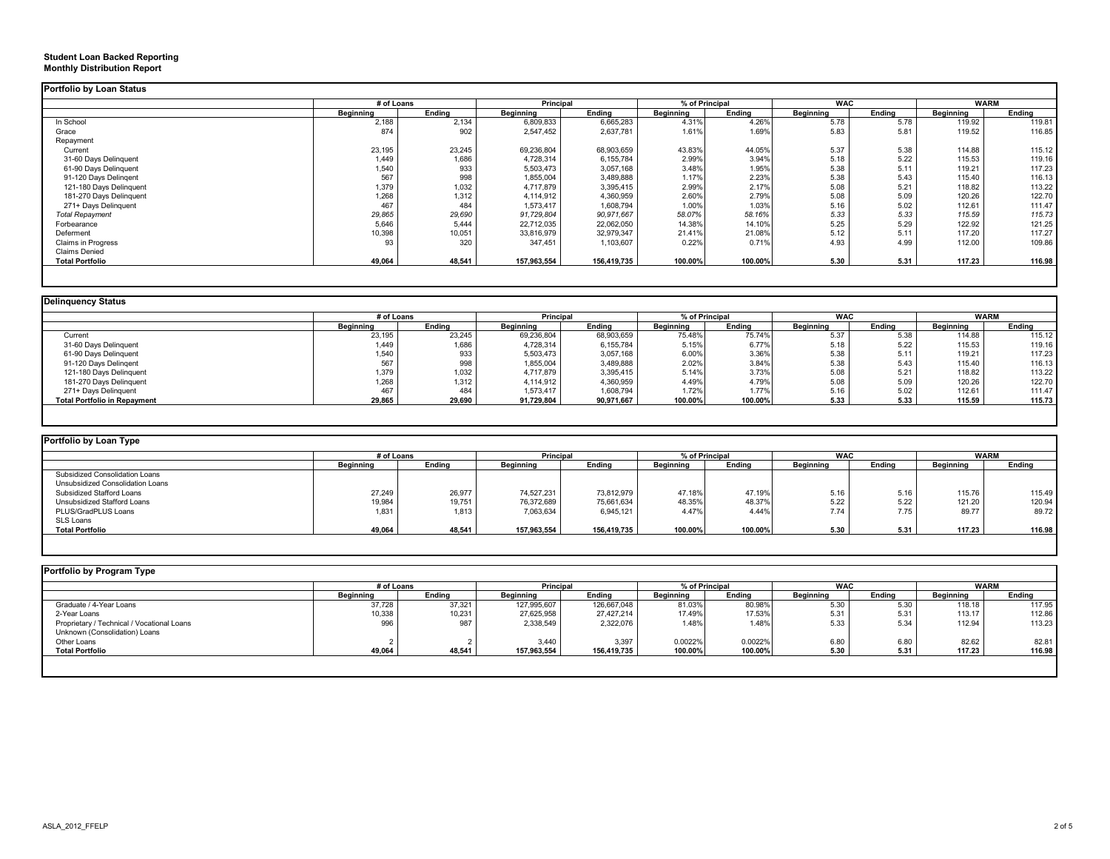#### **Student Loan Backed Reporting Monthly Distribution Report**

|                         | # of Loans |        |             | Principal   |           | % of Principal |           | <b>WAC</b> | <b>WARM</b> |        |
|-------------------------|------------|--------|-------------|-------------|-----------|----------------|-----------|------------|-------------|--------|
|                         | Beginning  | Ending | Beginning   | Ending      | Beginning | Ending         | Beginning | Ending     | Beginning   | Ending |
| In School               | 2,188      | 2,134  | 6,809,833   | 6,665,283   | 4.31%     | 4.26%          | 5.78      | 5.78       | 119.92      | 119.81 |
| Grace                   | 874        | 902    | 2,547,452   | 2,637,781   | 1.61%     | 1.69%          | 5.83      | 5.81       | 119.52      | 116.85 |
| Repayment               |            |        |             |             |           |                |           |            |             |        |
| Current                 | 23,195     | 23,245 | 69,236,804  | 68,903,659  | 43.83%    | 44.05%         | 5.37      | 5.38       | 114.88      | 115.12 |
| 31-60 Days Delinquent   | 1,449      | 1,686  | 4,728,314   | 6,155,784   | 2.99%     | 3.94%          | 5.18      | 5.22       | 115.53      | 119.16 |
| 61-90 Days Delinquent   | 1,540      | 933    | 5,503,473   | 3,057,168   | 3.48%     | 1.95%          | 5.38      | 5.11       | 119.21      | 117.23 |
| 91-120 Days Delingent   | 567        | 998    | 1,855,004   | 3,489,888   | 1.17%     | 2.23%          | 5.38      | 5.43       | 115.40      | 116.13 |
| 121-180 Days Delinquent | 1,379      | 1,032  | 4,717,879   | 3,395,415   | 2.99%     | 2.17%          | 5.08      | 5.21       | 118.82      | 113.22 |
| 181-270 Days Delinquent | 1,268      | 1,312  | 4,114,912   | 4,360,959   | 2.60%     | 2.79%          | 5.08      | 5.09       | 120.26      | 122.70 |
| 271+ Days Delinguent    | 467        | 484    | 1,573,417   | 1,608,794   | 1.00%     | 1.03%          | 5.16      | 5.02       | 112.61      | 111.47 |
| <b>Total Repayment</b>  | 29,865     | 29,690 | 91,729,804  | 90,971,667  | 58.07%    | 58.16%         | 5.33      | 5.33       | 115.59      | 115.73 |
| Forbearance             | 5,646      | 5.444  | 22,712,035  | 22,062,050  | 14.38%    | 14.10%         | 5.25      | 5.29       | 122.92      | 121.25 |
| Deferment               | 10,398     | 10,051 | 33,816,979  | 32,979,347  | 21.41%    | 21.08%         | 5.12      | 5.11       | 117.20      | 117.27 |
| Claims in Progress      | 93         | 320    | 347.451     | 1,103,607   | 0.22%     | 0.71%          | 4.93      | 4.99       | 112.00      | 109.86 |
| <b>Claims Denied</b>    |            |        |             |             |           |                |           |            |             |        |
| <b>Total Portfolio</b>  | 49,064     | 48,541 | 157,963,554 | 156,419,735 | 100.00%   | 100.00%        | 5.30      | 5.31       | 117.23      | 116.98 |

### **Delinquency Status**

|                                     |           | # of Loans |                  | Principal  |                  | % of Principal |                  | <b>WAC</b> |           | <b>WARM</b> |
|-------------------------------------|-----------|------------|------------------|------------|------------------|----------------|------------------|------------|-----------|-------------|
|                                     | Beginning | Endina     | <b>Beainning</b> | Endina     | <b>Beainning</b> | Endina         | <b>Beainning</b> | Endina     | Beainning | Endina      |
| Current                             | 23,195    | 23,245     | 69,236,804       | 68,903,659 | 75.48%           | 75.74%         | 5.37             | 5.38       | 114.88    | 115.12      |
| 31-60 Days Delinquent               | 1.449     | 1,686      | 4,728,314        | 6,155,784  | 5.15%            | 6.77%          | 5.18             | 5.22       | 115.53    | 119.16      |
| 61-90 Days Delinquent               | 1,540     | 933        | 5,503,473        | 3,057,168  | 6.00%            | 3.36%          | 5.38             | 5.11       | 119.21    | 117.23      |
| 91-120 Days Delingent               | 567       | 998        | 1,855,004        | 3,489,888  | 2.02%            | 3.84%          | 5.38             | 5.43       | 115.40    | 116.13      |
| 121-180 Days Delinguent             | 1,379     | 1,032      | 4,717,879        | 3,395,415  | 5.14%            | 3.73%          | 5.08             | 5.21       | 118.82    | 113.22      |
| 181-270 Days Delinquent             | 1,268     | 1,312      | 4,114,912        | 4,360,959  | 4.49%            | 4.79%          | 5.08             | 5.09       | 120.26    | 122.70      |
| 271+ Days Delinquent                | 467       | 484        | 1,573,417        | 1,608,794  | 1.72%            | 1.77%          | 5.16             | 5.02       | 112.61    | 111.47      |
| <b>Total Portfolio in Repayment</b> | 29,865    | 29,690     | 91,729,804       | 90.971.667 | 100.00%          | 100.00%        | 5.33             | 5.33       | 115.59    | 115.73      |

| Portfolio by Loan Type           |                  |            |             |             |                  |                |                  |            |                  |             |
|----------------------------------|------------------|------------|-------------|-------------|------------------|----------------|------------------|------------|------------------|-------------|
|                                  |                  | # of Loans |             | Principal   |                  | % of Principal |                  | <b>WAC</b> |                  | <b>WARM</b> |
|                                  | <b>Beginning</b> | Ending     | Beginning   | Endina      | <b>Beainning</b> | Ending         | <b>Beainning</b> | Endina     | <b>Beginning</b> | Ending      |
| Subsidized Consolidation Loans   |                  |            |             |             |                  |                |                  |            |                  |             |
| Unsubsidized Consolidation Loans |                  |            |             |             |                  |                |                  |            |                  |             |
| Subsidized Stafford Loans        | 27,249           | 26.977     | 74.527.231  | 73.812.979  | 47.18%           | 47.19%         | 5.16             | 5.16       | 115.76           | 115.49      |
| Unsubsidized Stafford Loans      | 19,984           | 19,751     | 76,372,689  | 75,661,634  | 48.35%           | 48.37%         | 5.22             | 5.22       | 121.20           | 120.94      |
| PLUS/GradPLUS Loans              | 1,831            | 1.813      | 7,063,634   | 6,945,121   | 4.47%            | 4.44%          | 7.74             | 7.75       | 89.77            | 89.72       |
| SLS Loans                        |                  |            |             |             |                  |                |                  |            |                  |             |
| <b>Total Portfolio</b>           | 49,064           | 48,541     | 157,963,554 | 156,419,735 | 100.00%          | 100.00%        | 5.30             | 5.31       | 117.23           | 116.98      |

| Portfolio by Program Type                  |                  |            |             |                  |           |                |            |        |             |        |
|--------------------------------------------|------------------|------------|-------------|------------------|-----------|----------------|------------|--------|-------------|--------|
|                                            |                  | # of Loans |             | <b>Principal</b> |           | % of Principal | <b>WAC</b> |        | <b>WARM</b> |        |
|                                            | <b>Beginning</b> | Endina     | Beginning   | Ending           | Beginning | Ending         | Beginning  | Ending | Beginning   | Ending |
| Graduate / 4-Year Loans                    | 37,728           | 37,321     | 127,995,607 | 126,667,048      | 81.03%    | 80.98%         | 5.30       | 5.30   | 118.18      | 117.95 |
| 2-Year Loans                               | 10,338           | 10,231     | 27,625,958  | 27.427.214       | 17.49%    | 17.53%         | 5.31       | 5.31   | 113.17      | 112.86 |
| Proprietary / Technical / Vocational Loans | 996              | 987        | 2,338,549   | 2.322.076        | 1.48%     | 1.48%          | 5.33       | 5.34   | 112.94      | 113.23 |
| Unknown (Consolidation) Loans              |                  |            |             |                  |           |                |            |        |             |        |
| Other Loans                                |                  |            | 3,440       | 3,397            | 0.0022%   | 0.0022%        | 6.80       | 6.80   | 82.62       | 82.81  |
| <b>Total Portfolio</b>                     | 49,064           | 48,541     | 157,963,554 | 156,419,735      | 100.00%   | 100.00%        | 5.30       | 5.31   | 117.23      | 116.98 |
|                                            |                  |            |             |                  |           |                |            |        |             |        |
|                                            |                  |            |             |                  |           |                |            |        |             |        |

#### ASLA\_2012\_FFELP 2 of 5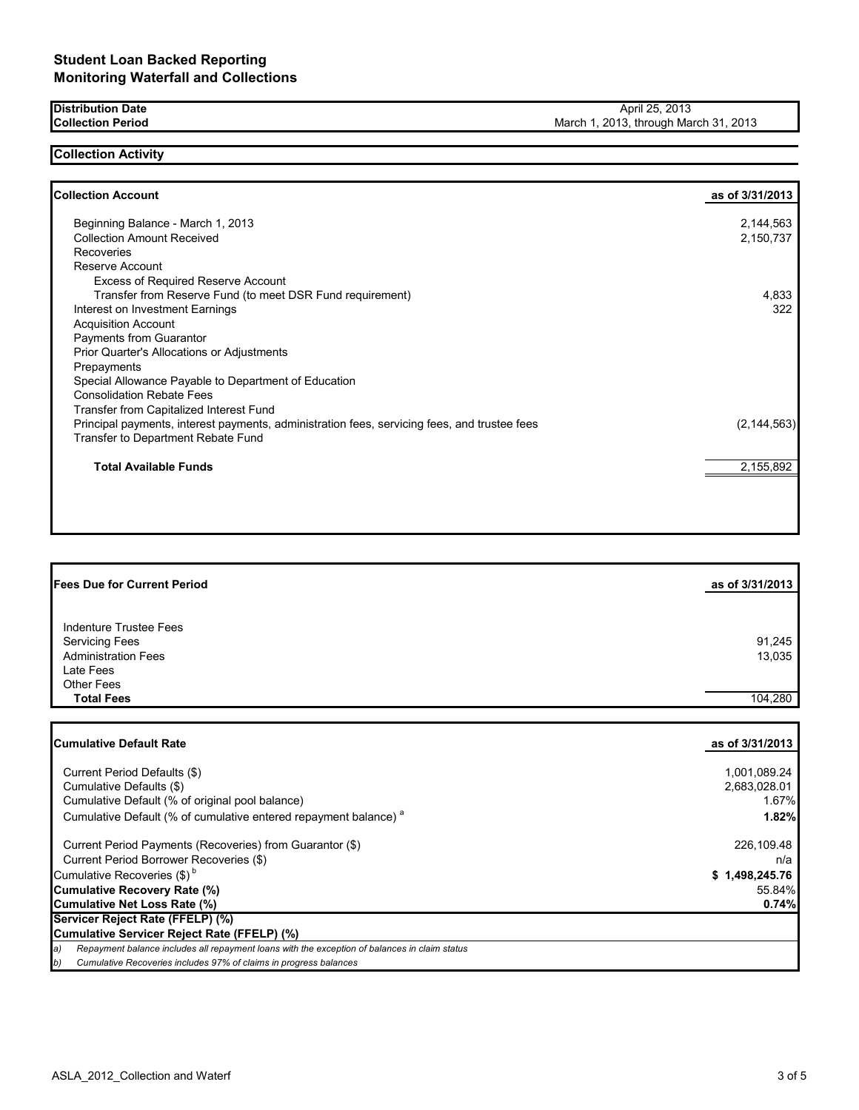**Distribution Date Collection Period**

## **Collection Activity**

| <b>Collection Account</b>                                                                    | as of 3/31/2013 |
|----------------------------------------------------------------------------------------------|-----------------|
| Beginning Balance - March 1, 2013                                                            | 2,144,563       |
| <b>Collection Amount Received</b>                                                            | 2,150,737       |
| Recoveries                                                                                   |                 |
| Reserve Account                                                                              |                 |
| <b>Excess of Required Reserve Account</b>                                                    |                 |
| Transfer from Reserve Fund (to meet DSR Fund requirement)                                    | 4,833           |
| Interest on Investment Earnings                                                              | 322             |
| <b>Acquisition Account</b>                                                                   |                 |
| Payments from Guarantor                                                                      |                 |
| Prior Quarter's Allocations or Adjustments                                                   |                 |
| Prepayments                                                                                  |                 |
| Special Allowance Payable to Department of Education                                         |                 |
| <b>Consolidation Rebate Fees</b>                                                             |                 |
| Transfer from Capitalized Interest Fund                                                      |                 |
| Principal payments, interest payments, administration fees, servicing fees, and trustee fees | (2, 144, 563)   |
| Transfer to Department Rebate Fund                                                           |                 |
| <b>Total Available Funds</b>                                                                 | 2,155,892       |

| <b>Fees Due for Current Period</b> | as of 3/31/2013 |
|------------------------------------|-----------------|
|                                    |                 |
| Indenture Trustee Fees             |                 |
| <b>Servicing Fees</b>              | 91,245          |
| <b>Administration Fees</b>         | 13,035          |
| Late Fees                          |                 |
| <b>Other Fees</b>                  |                 |
| <b>Total Fees</b>                  | 104,280         |
|                                    |                 |

| <b>Cumulative Default Rate</b>                                                                      | as of 3/31/2013 |
|-----------------------------------------------------------------------------------------------------|-----------------|
|                                                                                                     |                 |
| Current Period Defaults (\$)                                                                        | 1,001,089.24    |
| Cumulative Defaults (\$)                                                                            | 2,683,028.01    |
| Cumulative Default (% of original pool balance)                                                     | 1.67%           |
| Cumulative Default (% of cumulative entered repayment balance) <sup>a</sup>                         | 1.82%           |
| Current Period Payments (Recoveries) from Guarantor (\$)                                            | 226,109.48      |
| Current Period Borrower Recoveries (\$)                                                             | n/a             |
| Cumulative Recoveries (\$) <sup>b</sup>                                                             | \$1,498,245.76  |
| <b>Cumulative Recovery Rate (%)</b>                                                                 | 55.84%          |
| Cumulative Net Loss Rate (%)                                                                        | 0.74%           |
| Servicer Reject Rate (FFELP) (%)                                                                    |                 |
| Cumulative Servicer Reject Rate (FFELP) (%)                                                         |                 |
| Repayment balance includes all repayment loans with the exception of balances in claim status<br>a) |                 |
| Cumulative Recoveries includes 97% of claims in progress balances<br>b)                             |                 |

April 25, 2013 March 1, 2013, through March 31, 2013

٦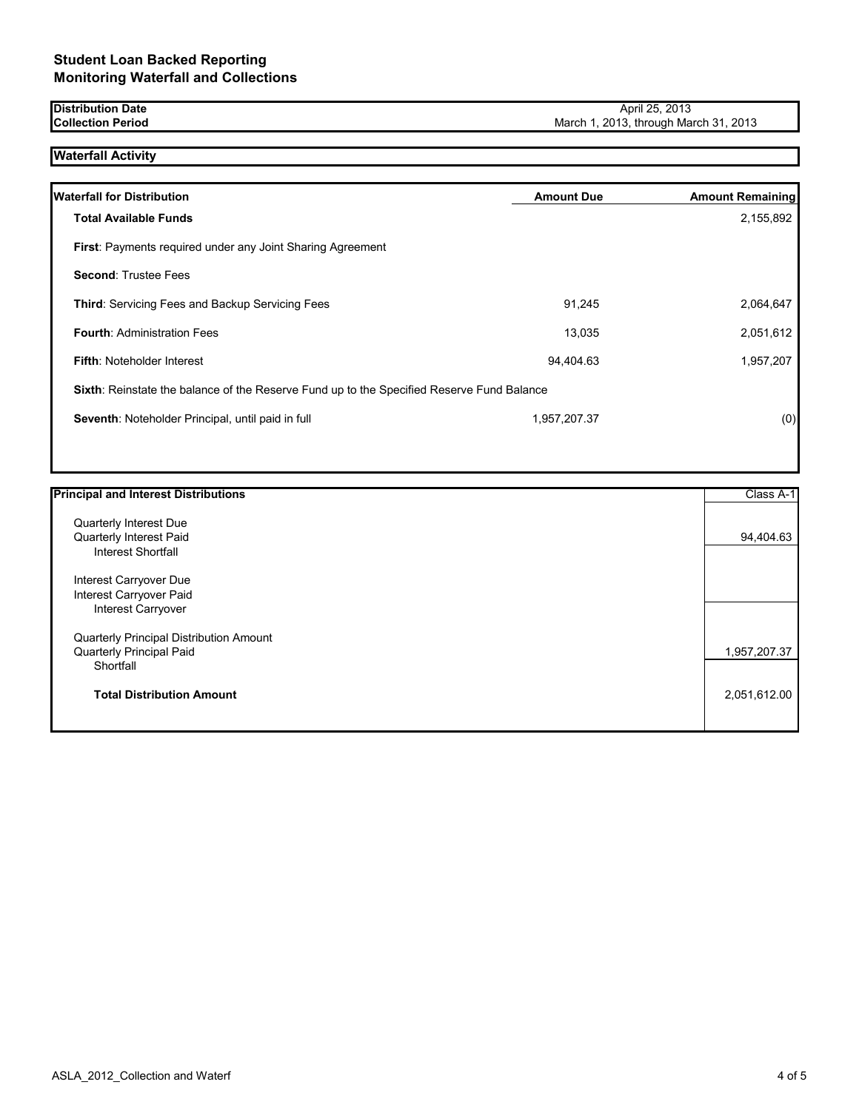#### **Distribution Date Collection Period**

# **Waterfall Activity**

| <b>Waterfall for Distribution</b>                                                         | <b>Amount Due</b> | <b>Amount Remaining</b> |
|-------------------------------------------------------------------------------------------|-------------------|-------------------------|
| <b>Total Available Funds</b>                                                              |                   | 2,155,892               |
| <b>First:</b> Payments required under any Joint Sharing Agreement                         |                   |                         |
| <b>Second: Trustee Fees</b>                                                               |                   |                         |
| <b>Third: Servicing Fees and Backup Servicing Fees</b>                                    | 91.245            | 2,064,647               |
| <b>Fourth: Administration Fees</b>                                                        | 13.035            | 2,051,612               |
| <b>Fifth: Noteholder Interest</b>                                                         | 94,404.63         | 1,957,207               |
| Sixth: Reinstate the balance of the Reserve Fund up to the Specified Reserve Fund Balance |                   |                         |
| Seventh: Noteholder Principal, until paid in full                                         | 1.957.207.37      | (0)                     |

| <b>Principal and Interest Distributions</b> | Class A-1    |
|---------------------------------------------|--------------|
| Quarterly Interest Due                      |              |
| Quarterly Interest Paid                     | 94,404.63    |
| Interest Shortfall                          |              |
| Interest Carryover Due                      |              |
| Interest Carryover Paid                     |              |
| <b>Interest Carryover</b>                   |              |
| Quarterly Principal Distribution Amount     |              |
| Quarterly Principal Paid                    | 1,957,207.37 |
| Shortfall                                   |              |
| <b>Total Distribution Amount</b>            | 2,051,612.00 |
|                                             |              |

```
April 25, 2013
```
March 1, 2013, through March 31, 2013